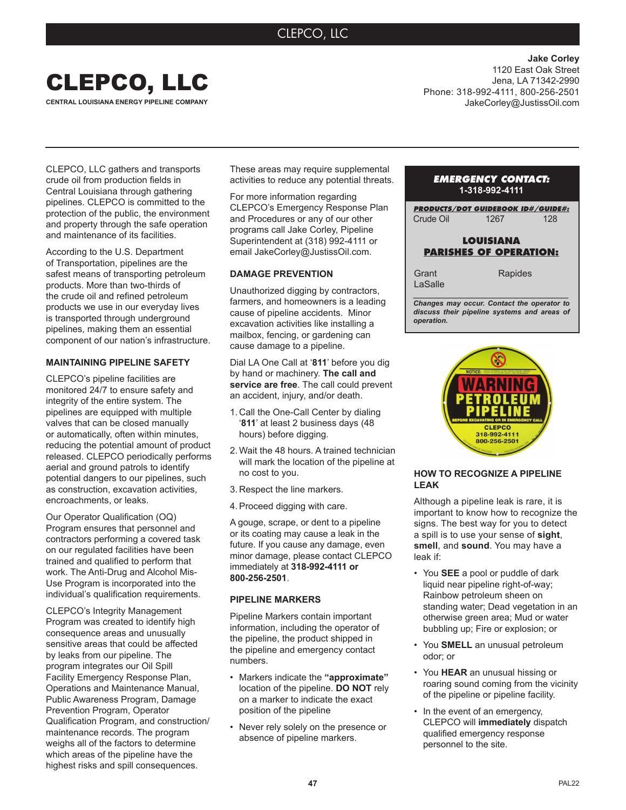# CLEPCO, LLC



**Jake Corley** 1120 East Oak Street Jena, LA 71342-2990 Phone: 318-992-4111, 800-256-2501 JakeCorley@JustissOil.com

CLEPCO, LLC gathers and transports crude oil from production fields in Central Louisiana through gathering pipelines. CLEPCO is committed to the protection of the public, the environment and property through the safe operation and maintenance of its facilities.

According to the U.S. Department of Transportation, pipelines are the safest means of transporting petroleum products. More than two-thirds of the crude oil and refined petroleum products we use in our everyday lives is transported through underground pipelines, making them an essential component of our nation's infrastructure.

# **MAINTAINING PIPELINE SAFETY**

CLEPCO's pipeline facilities are monitored 24/7 to ensure safety and integrity of the entire system. The pipelines are equipped with multiple valves that can be closed manually or automatically, often within minutes, reducing the potential amount of product released. CLEPCO periodically performs aerial and ground patrols to identify potential dangers to our pipelines, such as construction, excavation activities, encroachments, or leaks.

Our Operator Qualification (OQ) Program ensures that personnel and contractors performing a covered task on our regulated facilities have been trained and qualified to perform that work. The Anti-Drug and Alcohol Mis-Use Program is incorporated into the individual's qualification requirements.

CLEPCO's Integrity Management Program was created to identify high consequence areas and unusually sensitive areas that could be affected by leaks from our pipeline. The program integrates our Oil Spill Facility Emergency Response Plan, Operations and Maintenance Manual, Public Awareness Program, Damage Prevention Program, Operator Qualification Program, and construction/ maintenance records. The program weighs all of the factors to determine which areas of the pipeline have the highest risks and spill consequences.

These areas may require supplemental activities to reduce any potential threats.

For more information regarding CLEPCO's Emergency Response Plan and Procedures or any of our other programs call Jake Corley, Pipeline Superintendent at (318) 992-4111 or email JakeCorley@JustissOil.com.

# **DAMAGE PREVENTION**

Unauthorized digging by contractors, farmers, and homeowners is a leading cause of pipeline accidents. Minor excavation activities like installing a mailbox, fencing, or gardening can cause damage to a pipeline.

Dial LA One Call at '**811**' before you dig by hand or machinery. **The call and service are free**. The call could prevent an accident, injury, and/or death.

- 1. Call the One-Call Center by dialing '**811**' at least 2 business days (48 hours) before digging.
- 2. Wait the 48 hours. A trained technician will mark the location of the pipeline at no cost to you.
- 3. Respect the line markers.
- 4.Proceed digging with care.

A gouge, scrape, or dent to a pipeline or its coating may cause a leak in the future. If you cause any damage, even minor damage, please contact CLEPCO immediately at **318-992-4111 or 800-256-2501**.

#### **PIPELINE MARKERS**

Pipeline Markers contain important information, including the operator of the pipeline, the product shipped in the pipeline and emergency contact numbers.

- Markers indicate the **"approximate"**  location of the pipeline. **DO NOT** rely on a marker to indicate the exact position of the pipeline
- Never rely solely on the presence or absence of pipeline markers.

# *EMERGENCY CONTACT:* **1-318-992-4111**

*PRODUCTS/DOT GUIDEBOOK ID#/GUIDE#:* Crude Oil 1267 128

# **LOUISIANA PARISHES OF OPERATION:**

**Grant** LaSalle

*\_\_\_\_\_\_\_\_\_\_\_\_\_\_\_\_\_\_\_\_\_\_\_\_\_\_\_\_\_\_\_\_\_\_\_\_\_\_\_ Changes may occur. Contact the operator to discuss their pipeline systems and areas of operation.*

Rapides



# **HOW TO RECOGNIZE A PIPELINE LEAK**

Although a pipeline leak is rare, it is important to know how to recognize the signs. The best way for you to detect a spill is to use your sense of **sight**, **smell**, and **sound**. You may have a leak if:

- You **SEE** a pool or puddle of dark liquid near pipeline right-of-way; Rainbow petroleum sheen on standing water; Dead vegetation in an otherwise green area; Mud or water bubbling up; Fire or explosion; or
- You **SMELL** an unusual petroleum odor; or
- You **HEAR** an unusual hissing or roaring sound coming from the vicinity of the pipeline or pipeline facility.
- In the event of an emergency, CLEPCO will **immediately** dispatch qualified emergency response personnel to the site.